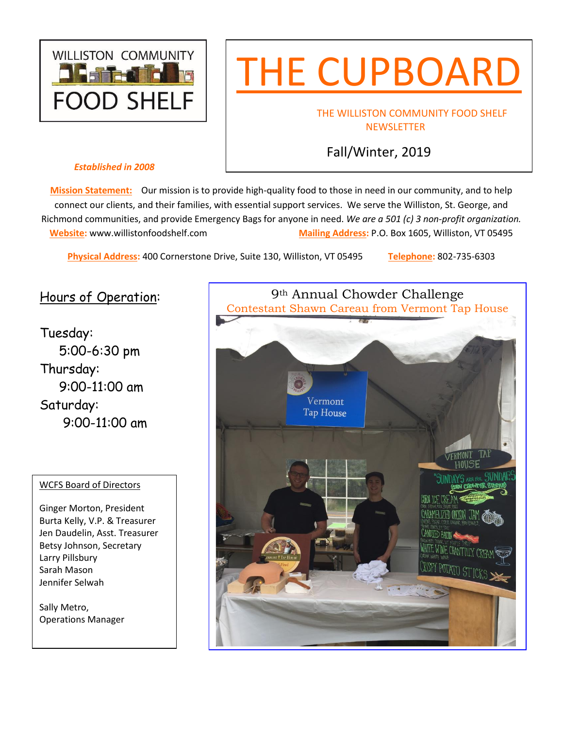

# THE CUPBOARD

### THE WILLISTON COMMUNITY FOOD SHELF **NEWSLETTER**

# Fall/Winter, 2019

#### *Established in 2008*

**Mission Statement:** Our mission is to provide high-quality food to those in need in our community, and to help connect our clients, and their families, with essential support services. We serve the Williston, St. George, and Richmond communities, and provide Emergency Bags for anyone in need. *We are a 501 (c) 3 non-profit organization.*  **Website:** [www.willistonfoodshelf.com](http://www.willistonfoodshelf.com/) **Mailing Address:** P.O. Box 1605, Williston, VT 05495

**Physical Address:** 400 Cornerstone Drive, Suite 130, Williston, VT 05495 **Telephone:** 802-735-6303

# Hours of Operation:

Tuesday: 5:00-6:30 pm Thursday: 9:00-11:00 am Saturday: 9:00-11:00 am

#### WCFS Board of Directors

Ginger Morton, President Burta Kelly, V.P. & Treasurer Jen Daudelin, Asst. Treasurer Betsy Johnson, Secretary Larry Pillsbury Sarah Mason Jennifer Selwah

Sally Metro, Operations Manager

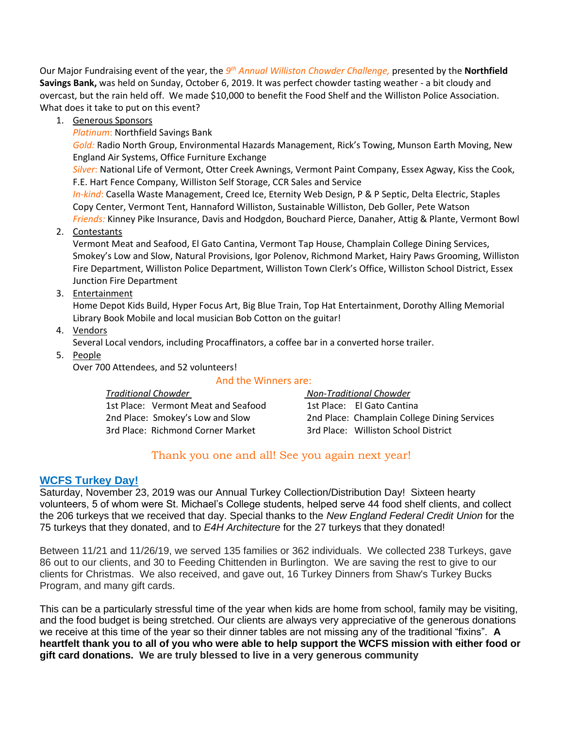Our Major Fundraising event of the year, the *9<sup>th</sup> Annual Williston Chowder Challenge,* presented by the **Northfield Savings Bank,** was held on Sunday, October 6, 2019. It was perfect chowder tasting weather - a bit cloudy and overcast, but the rain held off. We made \$10,000 to benefit the Food Shelf and the Williston Police Association. What does it take to put on this event?

1. Generous Sponsors

*Platinum*: Northfield Savings Bank

*Gold:* Radio North Group, Environmental Hazards Management, Rick's Towing, Munson Earth Moving, New England Air Systems, Office Furniture Exchange

*Silver*: National Life of Vermont, Otter Creek Awnings, Vermont Paint Company, Essex Agway, Kiss the Cook, F.E. Hart Fence Company, Williston Self Storage, CCR Sales and Service

*In-kind*: Casella Waste Management, Creed Ice, Eternity Web Design, P & P Septic, Delta Electric, Staples Copy Center, Vermont Tent, Hannaford Williston, Sustainable Williston, Deb Goller, Pete Watson *Friends:* Kinney Pike Insurance, Davis and Hodgdon, Bouchard Pierce, Danaher, Attig & Plante, Vermont Bowl

2. Contestants

Vermont Meat and Seafood, El Gato Cantina, Vermont Tap House, Champlain College Dining Services, Smokey's Low and Slow, Natural Provisions, Igor Polenov, Richmond Market, Hairy Paws Grooming, Williston Fire Department, Williston Police Department, Williston Town Clerk's Office, Williston School District, Essex Junction Fire Department

3. Entertainment

Home Depot Kids Build, Hyper Focus Art, Big Blue Train, Top Hat Entertainment, Dorothy Alling Memorial Library Book Mobile and local musician Bob Cotton on the guitar!

4. Vendors

Several Local vendors, including Procaffinators, a coffee bar in a converted horse trailer.

5. People

Over 700 Attendees, and 52 volunteers!

#### And the Winners are:

#### *Traditional Chowder Non-Traditional Chowder*

1st Place: Vermont Meat and Seafood 1st Place: El Gato Cantina 3rd Place: Richmond Corner Market 3rd Place: Williston School District

2nd Place: Smokey's Low and Slow 2nd Place: Champlain College Dining Services

## Thank you one and all! See you again next year!

## **WCFS Turkey Day!**

Saturday, November 23, 2019 was our Annual Turkey Collection/Distribution Day! Sixteen hearty volunteers, 5 of whom were St. Michael's College students, helped serve 44 food shelf clients, and collect the 206 turkeys that we received that day. Special thanks to the *New England Federal Credit Union* for the 75 turkeys that they donated, and to *E4H Architecture* for the 27 turkeys that they donated!

Between 11/21 and 11/26/19, we served 135 families or 362 individuals. We collected 238 Turkeys, gave 86 out to our clients, and 30 to Feeding Chittenden in Burlington. We are saving the rest to give to our clients for Christmas. We also received, and gave out, 16 Turkey Dinners from Shaw's Turkey Bucks Program, and many gift cards.

This can be a particularly stressful time of the year when kids are home from school, family may be visiting, and the food budget is being stretched. Our clients are always very appreciative of the generous donations we receive at this time of the year so their dinner tables are not missing any of the traditional "fixins". **A heartfelt thank you to all of you who were able to help support the WCFS mission with either food or gift card donations. We are truly blessed to live in a very generous community**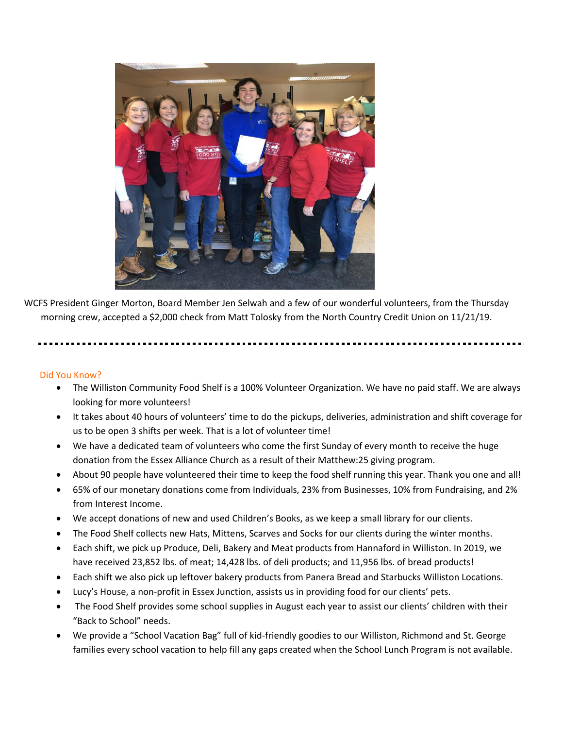

WCFS President Ginger Morton, Board Member Jen Selwah and a few of our wonderful volunteers, from the Thursday morning crew, accepted a \$2,000 check from Matt Tolosky from the North Country Credit Union on 11/21/19.

#### Did You Know?

- The Williston Community Food Shelf is a 100% Volunteer Organization. We have no paid staff. We are always looking for more volunteers!
- It takes about 40 hours of volunteers' time to do the pickups, deliveries, administration and shift coverage for us to be open 3 shifts per week. That is a lot of volunteer time!
- We have a dedicated team of volunteers who come the first Sunday of every month to receive the huge donation from the Essex Alliance Church as a result of their Matthew:25 giving program.
- About 90 people have volunteered their time to keep the food shelf running this year. Thank you one and all!
- 65% of our monetary donations come from Individuals, 23% from Businesses, 10% from Fundraising, and 2% from Interest Income.
- We accept donations of new and used Children's Books, as we keep a small library for our clients.
- The Food Shelf collects new Hats, Mittens, Scarves and Socks for our clients during the winter months.
- Each shift, we pick up Produce, Deli, Bakery and Meat products from Hannaford in Williston. In 2019, we have received 23,852 lbs. of meat; 14,428 lbs. of deli products; and 11,956 lbs. of bread products!
- Each shift we also pick up leftover bakery products from Panera Bread and Starbucks Williston Locations.
- Lucy's House, a non-profit in Essex Junction, assists us in providing food for our clients' pets.
- The Food Shelf provides some school supplies in August each year to assist our clients' children with their "Back to School" needs.
- We provide a "School Vacation Bag" full of kid-friendly goodies to our Williston, Richmond and St. George families every school vacation to help fill any gaps created when the School Lunch Program is not available.